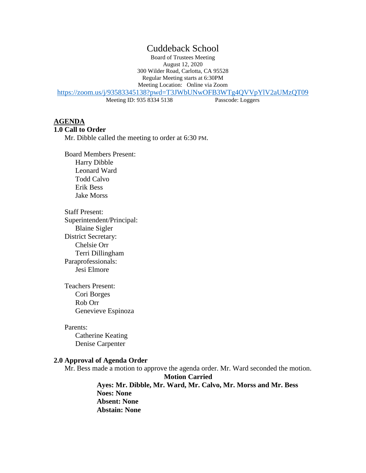# Cuddeback School

Board of Trustees Meeting August 12, 2020 300 Wilder Road, Carlotta, CA 95528 Regular Meeting starts at 6:30PM Meeting Location: Online via Zoom

[https://zoom.us/j/93583345138?pwd=T3JWbUNwOFB3WTg4QVVpYlV2aUMzQT09](https://www.google.com/url?q=https://zoom.us/j/93583345138?pwd%3DT3JWbUNwOFB3WTg4QVVpYlV2aUMzQT09&sa=D&source=calendar&ust=1597248464488000&usg=AOvVaw2CTxpRvwNo_jShieYCC2Tb)

Meeting ID: 935 8334 5138 Passcode: Loggers

## **AGENDA**

#### **1.0 Call to Order**

Mr. Dibble called the meeting to order at 6:30 PM.

Board Members Present: Harry Dibble Leonard Ward Todd Calvo Erik Bess Jake Morss

Staff Present: Superintendent/Principal: Blaine Sigler District Secretary: Chelsie Orr Terri Dillingham Paraprofessionals: Jesi Elmore

Teachers Present: Cori Borges Rob Orr Genevieve Espinoza

Parents: Catherine Keating Denise Carpenter

#### **2.0 Approval of Agenda Order**

Mr. Bess made a motion to approve the agenda order. Mr. Ward seconded the motion.

**Motion Carried Ayes: Mr. Dibble, Mr. Ward, Mr. Calvo, Mr. Morss and Mr. Bess Noes: None Absent: None Abstain: None**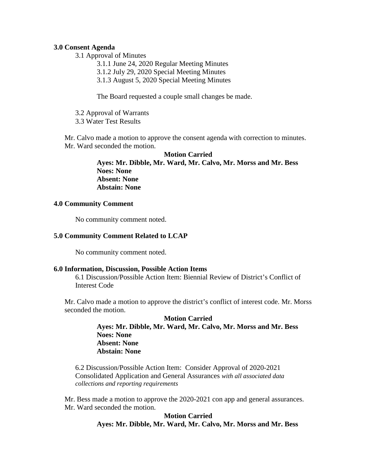### **3.0 Consent Agenda**

3.1 Approval of Minutes

3.1.1 June 24, 2020 Regular Meeting Minutes

3.1.2 July 29, 2020 Special Meeting Minutes

3.1.3 August 5, 2020 Special Meeting Minutes

The Board requested a couple small changes be made.

3.2 Approval of Warrants 3.3 Water Test Results

Mr. Calvo made a motion to approve the consent agenda with correction to minutes. Mr. Ward seconded the motion.

> **Motion Carried Ayes: Mr. Dibble, Mr. Ward, Mr. Calvo, Mr. Morss and Mr. Bess Noes: None Absent: None Abstain: None**

### **4.0 Community Comment**

No community comment noted.

### **5.0 Community Comment Related to LCAP**

No community comment noted.

### **6.0 Information, Discussion, Possible Action Items**

6.1 Discussion/Possible Action Item: Biennial Review of District's Conflict of Interest Code

Mr. Calvo made a motion to approve the district's conflict of interest code. Mr. Morss seconded the motion.

## **Motion Carried Ayes: Mr. Dibble, Mr. Ward, Mr. Calvo, Mr. Morss and Mr. Bess Noes: None Absent: None Abstain: None**

6.2 Discussion/Possible Action Item: Consider Approval of 2020-2021 Consolidated Application and General Assurances *with all associated data collections and reporting requirements* 

Mr. Bess made a motion to approve the 2020-2021 con app and general assurances. Mr. Ward seconded the motion.

### **Motion Carried Ayes: Mr. Dibble, Mr. Ward, Mr. Calvo, Mr. Morss and Mr. Bess**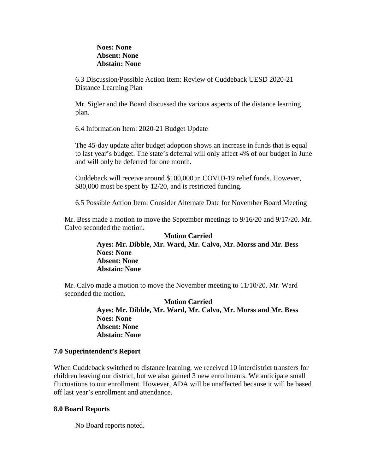### **Noes: None Absent: None Abstain: None**

6.3 Discussion/Possible Action Item: Review of Cuddeback UESD 2020-21 Distance Learning Plan

Mr. Sigler and the Board discussed the various aspects of the distance learning plan.

6.4 Information Item: 2020-21 Budget Update

The 45-day update after budget adoption shows an increase in funds that is equal to last year's budget. The state's deferral will only affect 4% of our budget in June and will only be deferred for one month.

Cuddeback will receive around \$100,000 in COVID-19 relief funds. However, \$80,000 must be spent by 12/20, and is restricted funding.

6.5 Possible Action Item: Consider Alternate Date for November Board Meeting

Mr. Bess made a motion to move the September meetings to 9/16/20 and 9/17/20. Mr. Calvo seconded the motion.

### **Motion Carried Ayes: Mr. Dibble, Mr. Ward, Mr. Calvo, Mr. Morss and Mr. Bess Noes: None Absent: None Abstain: None**

Mr. Calvo made a motion to move the November meeting to 11/10/20. Mr. Ward seconded the motion.

> **Motion Carried Ayes: Mr. Dibble, Mr. Ward, Mr. Calvo, Mr. Morss and Mr. Bess Noes: None Absent: None Abstain: None**

### **7.0 Superintendent's Report**

When Cuddeback switched to distance learning, we received 10 interdistrict transfers for children leaving our district, but we also gained 3 new enrollments. We anticipate small fluctuations to our enrollment. However, ADA will be unaffected because it will be based off last year's enrollment and attendance.

### **8.0 Board Reports**

No Board reports noted.